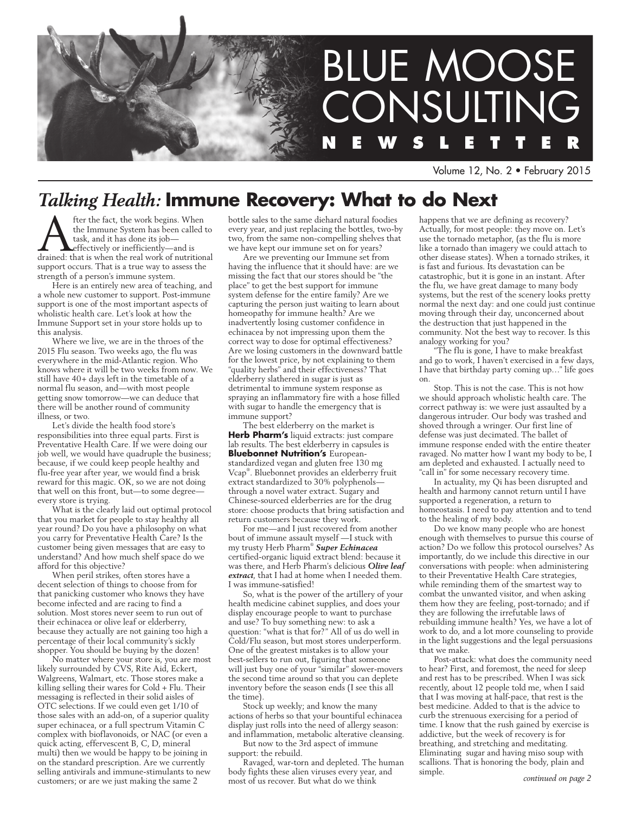

Volume 12, No. 2 • February 2015

# *Talking Health:* **Immune Recovery: What to do Next**

**A** fter the fact, the work begins. When<br>the Immune System has been called to<br>task, and it has done its job—<br>drained: that is when the real work of nutritional the Immune System has been called to task, and it has done its job effectively or inefficiently—and is support occurs. That is a true way to assess the strength of a person's immune system.

Here is an entirely new area of teaching, and a whole new customer to support. Post-immune support is one of the most important aspects of wholistic health care. Let's look at how the Immune Support set in your store holds up to this analysis.

Where we live, we are in the throes of the 2015 Flu season. Two weeks ago, the flu was everywhere in the mid-Atlantic region. Who knows where it will be two weeks from now. We still have 40+ days left in the timetable of a normal flu season, and—with most people getting snow tomorrow—we can deduce that there will be another round of community illness, or two.

Let's divide the health food store's responsibilities into three equal parts. First is Preventative Health Care. If we were doing our job well, we would have quadruple the business; because, if we could keep people healthy and flu-free year after year, we would find a brisk reward for this magic. OK, so we are not doing that well on this front, but—to some degree every store is trying.

What is the clearly laid out optimal protocol that you market for people to stay healthy all year round? Do you have a philosophy on what you carry for Preventative Health Care? Is the customer being given messages that are easy to understand? And how much shelf space do we afford for this objective?

When peril strikes, often stores have a decent selection of things to choose from for that panicking customer who knows they have become infected and are racing to find a solution. Most stores never seem to run out of their echinacea or olive leaf or elderberry, because they actually are not gaining too high a percentage of their local community's sickly shopper. You should be buying by the dozen!

No matter where your store is, you are most likely surrounded by CVS, Rite Aid, Eckert, Walgreens, Walmart, etc. Those stores make a killing selling their wares for Cold + Flu. Their messaging is reflected in their solid aisles of OTC selections. If we could even get 1/10 of those sales with an add-on, of a superior quality super echinacea, or a full spectrum Vitamin C complex with bioflavonoids, or NAC (or even a quick acting, effervescent B, C, D, mineral multi) then we would be happy to be joining in on the standard prescription. Are we currently selling antivirals and immune-stimulants to new customers; or are we just making the same 2

bottle sales to the same diehard natural foodies every year, and just replacing the bottles, two-by two, from the same non-compelling shelves that we have kept our immune set on for years?

Are we preventing our Immune set from having the influence that it should have: are we missing the fact that our stores should be "the place" to get the best support for immune system defense for the entire family? Are we capturing the person just waiting to learn about homeopathy for immune health? Are we inadvertently losing customer confidence in echinacea by not impressing upon them the correct way to dose for optimal effectiveness? Are we losing customers in the downward battle for the lowest price, by not explaining to them "quality herbs" and their effectiveness? That elderberry slathered in sugar is just as detrimental to immune system response as spraying an inflammatory fire with a hose filled with sugar to handle the emergency that is immune support?

The best elderberry on the market is **Herb Pharm's** liquid extracts: just compare lab results. The best elderberry in capsules is **Bluebonnet Nutrition's** Europeanstandardized vegan and gluten free 130 mg Vcap® . Bluebonnet provides an elderberry fruit extract standardized to 30% polyphenols through a novel water extract. Sugary and Chinese-sourced elderberries are for the drug store: choose products that bring satisfaction and return customers because they work.

For me—and I just recovered from another bout of immune assault myself —I stuck with my trusty Herb Pharm® *Super Echinacea*  certified-organic liquid extract blend: because it was there, and Herb Pharm's delicious *Olive leaf extract*, that I had at home when I needed them. I was immune-satisfied!

So, what is the power of the artillery of your health medicine cabinet supplies, and does your display encourage people to want to purchase and use? To buy something new: to ask a question: "what is that for?" All of us do well in Cold/Flu season, but most stores underperform. One of the greatest mistakes is to allow your best-sellers to run out, figuring that someone will just buy one of your "similar" slower-movers the second time around so that you can deplete inventory before the season ends (I see this all the time).

Stock up weekly; and know the many actions of herbs so that your bountiful echinacea display just rolls into the need of allergy season: and inflammation, metabolic alterative cleansing.

But now to the 3rd aspect of immune support: the rebuild.

Ravaged, war-torn and depleted. The human body fights these alien viruses every year, and most of us recover. But what do we think

happens that we are defining as recovery? Actually, for most people: they move on. Let's use the tornado metaphor, (as the flu is more like a tornado than imagery we could attach to other disease states). When a tornado strikes, it is fast and furious. Its devastation can be catastrophic, but it is gone in an instant. After the flu, we have great damage to many body systems, but the rest of the scenery looks pretty normal the next day: and one could just continue moving through their day, unconcerned about the destruction that just happened in the community. Not the best way to recover. Is this analogy working for you?

"The flu is gone, I have to make breakfast and go to work, I haven't exercised in a few days, I have that birthday party coming up…" life goes on.

Stop. This is not the case. This is not how we should approach wholistic health care. The correct pathway is: we were just assaulted by a dangerous intruder. Our body was trashed and shoved through a wringer. Our first line of defense was just decimated. The ballet of immune response ended with the entire theater ravaged. No matter how I want my body to be, I am depleted and exhausted. I actually need to "call in" for some necessary recovery time.

In actuality, my Qi has been disrupted and health and harmony cannot return until I have supported a regeneration, a return to homeostasis. I need to pay attention and to tend to the healing of my body.

Do we know many people who are honest enough with themselves to pursue this course of action? Do we follow this protocol ourselves? As importantly, do we include this directive in our conversations with people: when administering to their Preventative Health Care strategies, while reminding them of the smartest way to combat the unwanted visitor, and when asking them how they are feeling, post-tornado; and if they are following the irrefutable laws of rebuilding immune health? Yes, we have a lot of work to do, and a lot more counseling to provide in the light suggestions and the legal persuasions that we make.

Post-attack: what does the community need to hear? First, and foremost, the need for sleep and rest has to be prescribed. When I was sick recently, about 12 people told me, when I said that I was moving at half-pace, that rest is the best medicine. Added to that is the advice to curb the strenuous exercising for a period of time. I know that the rush gained by exercise is addictive, but the week of recovery is for breathing, and stretching and meditating. Eliminating sugar and having miso soup with scallions. That is honoring the body, plain and simple.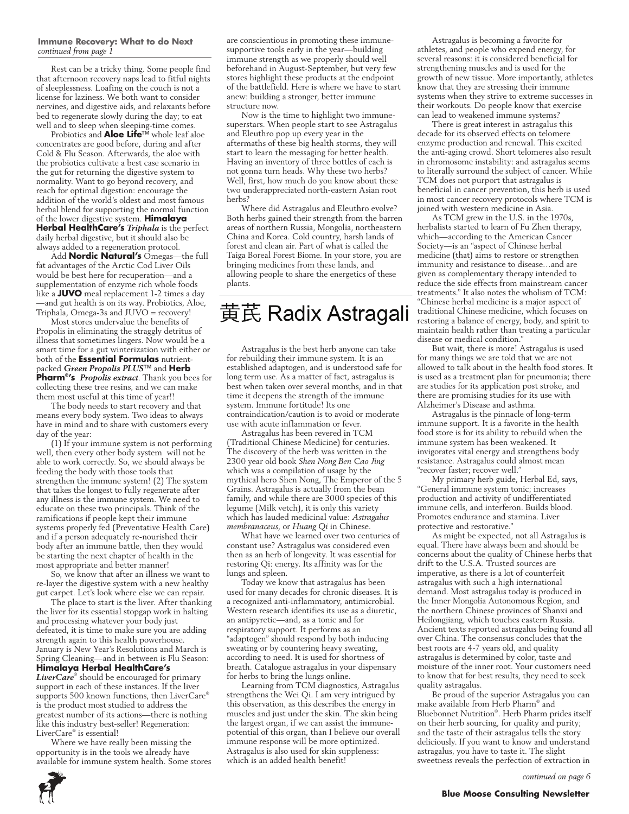#### **Immune Recovery: What to do Next** *continued from page 1*

Rest can be a tricky thing. Some people find that afternoon recovery naps lead to fitful nights of sleeplessness. Loafing on the couch is not a license for laziness. We both want to consider nervines, and digestive aids, and relaxants before bed to regenerate slowly during the day; to eat well and to sleep when sleeping-time comes.

Probiotics and **Aloe Life**™ whole leaf aloe concentrates are good before, during and after Cold & Flu Season. Afterwards, the aloe with the probiotics cultivate a best case scenario in the gut for returning the digestive system to normality. Want to go beyond recovery, and reach for optimal digestion: encourage the addition of the world's oldest and most famous herbal blend for supporting the normal function of the lower digestive system. **Himalaya Herbal HealthCare's** *Triphala* is the perfect daily herbal digestive, but it should also be always added to a regeneration protocol.

Add **Nordic Natural's** Omegas—the full fat advantages of the Arctic Cod Liver Oils would be best here for recuperation—and a supplementation of enzyme rich whole foods like a **JUVO** meal replacement 1-2 times a day —and gut health is on its way. Probiotics, Aloe, Triphala, Omega-3s and JUVO = recovery!

Most stores undervalue the benefits of Propolis in eliminating the straggly detritus of illness that sometimes lingers. Now would be a smart time for a gut winterization with either or both of the **Essential Formulas** nutrientpacked *Green Propolis PLUS*™ and **Herb Pharm® 's** *Propolis extract*. Thank you bees for collecting these tree resins, and we can make them most useful at this time of year!!

The body needs to start recovery and that means every body system. Two ideas to always have in mind and to share with customers every day of the year:

(1) If your immune system is not performing well, then every other body system will not be able to work correctly. So, we should always be feeding the body with those tools that strengthen the immune system! (2) The system that takes the longest to fully regenerate after any illness is the immune system. We need to educate on these two principals. Think of the ramifications if people kept their immune systems properly fed (Preventative Health Care) and if a person adequately re-nourished their body after an immune battle, then they would be starting the next chapter of health in the most appropriate and better manner!

So, we know that after an illness we want to re-layer the digestive system with a new healthy gut carpet. Let's look where else we can repair.

The place to start is the liver. After thanking the liver for its essential stopgap work in halting and processing whatever your body just defeated, it is time to make sure you are adding strength again to this health powerhouse. January is New Year's Resolutions and March is Spring Cleaning—and in between is Flu Season: **Himalaya Herbal HealthCare's**

*LiverCare*® should be encouraged for primary support in each of these instances. If the liver supports 500 known functions, then LiverCare® is the product most studied to address the greatest number of its actions—there is nothing like this industry best-seller! Regeneration: LiverCare® is essential!

Where we have really been missing the opportunity is in the tools we already have available for immune system health. Some stores are conscientious in promoting these immunesupportive tools early in the year—building immune strength as we properly should well beforehand in August-September, but very few stores highlight these products at the endpoint of the battlefield. Here is where we have to start anew: building a stronger, better immune structure now.

Now is the time to highlight two immunesuperstars. When people start to see Astragalus and Eleuthro pop up every year in the aftermaths of these big health storms, they will start to learn the messaging for better health. Having an inventory of three bottles of each is not gonna turn heads. Why these two herbs? Well, first, how much do you know about these two underappreciated north-eastern Asian root herbs?

Where did Astragalus and Eleuthro evolve? Both herbs gained their strength from the barren areas of northern Russia, Mongolia, northeastern China and Korea. Cold country, harsh lands of forest and clean air. Part of what is called the Taiga Boreal Forest Biome. In your store, you are bringing medicines from these lands, and allowing people to share the energetics of these plants.

# 黄芪 Radix Astragali

Astragalus is the best herb anyone can take for rebuilding their immune system. It is an established adaptogen, and is understood safe for long term use. As a matter of fact, astragalus is best when taken over several months, and in that time it deepens the strength of the immune system. Immune fortitude! Its one contraindication/caution is to avoid or moderate use with acute inflammation or fever.

Astragalus has been revered in TCM (Traditional Chinese Medicine) for centuries. The discovery of the herb was written in the 2300 year old book *Shen Nong Ben Cao Jing*  which was a compilation of usage by the mythical hero Shen Nong, The Emperor of the 5 Grains. Astragalus is actually from the bean family, and while there are 3000 species of this legume (Milk vetch), it is only this variety which has lauded medicinal value: *Astragalus membranaceus*, or *Huang Qi* in Chinese.

What have we learned over two centuries of constant use? Astragalus was considered even then as an herb of longevity. It was essential for restoring Qi: energy. Its affinity was for the lungs and spleen.

Today we know that astragalus has been used for many decades for chronic diseases. It is a recognized anti-inflammatory, antimicrobial. Western research identifies its use as a diuretic, an antipyretic—and, as a tonic and for respiratory support. It performs as an "adaptogen" should respond by both inducing sweating or by countering heavy sweating, according to need. It is used for shortness of breath. Catalogue astragalus in your dispensary for herbs to bring the lungs online.

Learning from TCM diagnostics, Astragalus strengthens the Wei Qi. I am very intrigued by this observation, as this describes the energy in muscles and just under the skin. The skin being the largest organ, if we can assist the immunepotential of this organ, than I believe our overall immune response will be more optimized. Astragalus is also used for skin suppleness: which is an added health benefit!

Astragalus is becoming a favorite for athletes, and people who expend energy, for several reasons: it is considered beneficial for strengthening muscles and is used for the growth of new tissue. More importantly, athletes know that they are stressing their immune systems when they strive to extreme successes in their workouts. Do people know that exercise can lead to weakened immune systems?

There is great interest in astragalus this decade for its observed effects on telomere enzyme production and renewal. This excited the anti-aging crowd. Short telomeres also result in chromosome instability: and astragalus seems to literally surround the subject of cancer. While TCM does not purport that astragalus is beneficial in cancer prevention, this herb is used in most cancer recovery protocols where TCM is joined with western medicine in Asia.

As TCM grew in the U.S. in the 1970s, herbalists started to learn of Fu Zhen therapy, which—according to the American Cancer Society—is an "aspect of Chinese herbal medicine (that) aims to restore or strengthen immunity and resistance to disease…and are given as complementary therapy intended to reduce the side effects from mainstream cancer treatments." It also notes the wholism of TCM: "Chinese herbal medicine is a major aspect of traditional Chinese medicine, which focuses on restoring a balance of energy, body, and spirit to maintain health rather than treating a particular disease or medical condition."

But wait, there is more! Astragalus is used for many things we are told that we are not allowed to talk about in the health food stores. It is used as a treatment plan for pneumonia; there are studies for its application post stroke, and there are promising studies for its use with Alzheimer's Disease and asthma.

Astragalus is the pinnacle of long-term immune support. It is a favorite in the health food store is for its ability to rebuild when the immune system has been weakened. It invigorates vital energy and strengthens body resistance. Astragalus could almost mean "recover faster; recover well."

My primary herb guide, Herbal Ed, says, "General immune system tonic; increases production and activity of undifferentiated immune cells, and interferon. Builds blood. Promotes endurance and stamina. Liver protective and restorative."

As might be expected, not all Astragalus is equal. There have always been and should be concerns about the quality of Chinese herbs that drift to the U.S.A. Trusted sources are imperative, as there is a lot of counterfeit astragalus with such a high international demand. Most astragalus today is produced in the Inner Mongolia Autonomous Region, and the northern Chinese provinces of Shanxi and Heilongjiang, which touches eastern Russia. Ancient texts reported astragalus being found all over China. The consensus concludes that the best roots are 4-7 years old, and quality astragalus is determined by color, taste and moisture of the inner root. Your customers need to know that for best results, they need to seek quality astragalus.

Be proud of the superior Astragalus you can make available from Herb Pharm® and Bluebonnet Nutrition® . Herb Pharm prides itself on their herb sourcing, for quality and purity; and the taste of their astragalus tells the story deliciously. If you want to know and understand astragalus, you have to taste it. The slight sweetness reveals the perfection of extraction in

*continued on page 6*

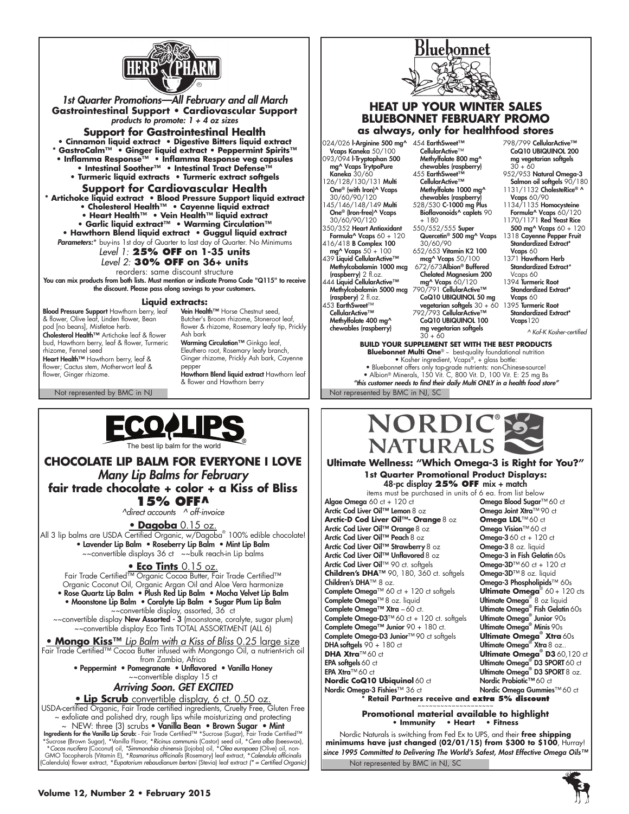

*1st Quarter Promotions—All February and all March* **Gastrointestinal Support • Cardiovascular Support**  *products to promote: 1 + 4 oz sizes*

## **Support for Gastrointestinal Health**

**• Cinnamon liquid extract • Digestive Bitters liquid extract \* GastroCalm™ • Ginger liquid extract • Peppermint Spirits™ • Inflamma Response™ • Inflamma Response veg capsules • Intestinal Soother™ • Intestinal Tract Defense™ • Turmeric liquid extracts • Turmeric extract softgels**

**Support for Cardiovascular Health**

**\* Artichoke liquid extract • Blood Pressure Support liquid extract**

- **Cholesterol Health™ Cayenne liquid extract**
- **Heart Health™ Vein Health™ liquid extract • Garlic liquid extract™ • Warming Circulation™ • Hawthorn Blend liquid extract • Guggul liquid extract**
- *Parameters:*\* buy-ins 1st day of Quarter to last day of Quarter. No Minimums

## *Level 1:* **25% OFF on 1-35 units**

### *Level 2:* **30% OFF on 36+ units**

reorders: same discount structure You can mix products from both lists. Must mention or indicate Promo Code "Q115" to receive the discount. Please pass along savings to your customers.

#### **Liquid extracts:**

**Blood Pressure Support** Hawthorn berry, leaf<br>& flower, Olive leaf, Linden flower, Bean pod [no beans], Mistletoe herb. Cholesterol Health™ Artichoke leaf & flower bud, Hawthorn berry, leaf & flower, Turmeric rhizome, Fennel seed Heart Health™ Hawthorn berry, leaf & flower; Cactus stem, Motherwort leaf & flower, Ginger rhizome.

Not represented by BMC in NJ Not represented by BMC in NJ, SC

Vein Health™ Horse Chestnut seed, Butcher's Broom rhizome, Stoneroot leaf, flower & rhizome, Rosemary leafy tip, Prickly Ash bark

**Warming Circulation™** Ginkgo leaf,<br>Eleuthero root, Rosemary leafy branch, Ginger rhizome, Prickly Ash bark, Cayenne pepper Hawthorn Blend liquid extract Hawthorn leaf

& flower and Hawthorn berry



## **CHOCOLATE LIP BALM FOR EVERYONE I LOVE** *Many Lip Balms for February* **fair trade chocolate + color + a Kiss of Bliss 15% OFF^** *^direct accounts ^ off-invoice* • **Dagoba** 0.15 oz.

All 3 lip balms are USDA Certified Organic, w/Dagoba® 100% edible chocolate! • Lavender Lip Balm • Roseberry Lip Balm • Mint Lip Balm ~~convertible displays 36 ct ~~bulk reach-in Lip balms

# • **Eco Tints** 0.15 oz.

Fair Trade Certified™ Organic Cocoa Butter, Fair Trade Certified™ Organic Coconut Oil, Organic Argan Oil and Aloe Vera harmonize

• Rose Quartz Lip Balm • Plush Red Lip Balm • Mocha Velvet Lip Balm • Moonstone Lip Balm • Coralyte Lip Balm • Sugar Plum Lip Balm ~~convertible display, assorted, 36 ct

~~convertible display **New Assorted - 3** (moonstone, coralyte, sugar plum) ~~convertible display Eco Tints TOTAL ASSORTMENT (ALL 6)

• **Mongo Kiss™** *Lip Balm with a Kiss of Bliss* 0.25 large size Fair Trade Certified™ Cocoa Butter infused with Mongongo Oil, a nutrient-rich oil

from Zambia, Africa • Peppermint • Pomegranate • Unflavored • Vanilla Honey ~~convertible display 15 ct

# *Arriving Soon. GET EXCITED*

• **Lip Scrub** convertible display, 6 ct. 0.50 oz.

USDA-certified Organic, Fair Trade certified ingredients, Cruelty Free, Gluten Free ~ exfoliate and polished dry, rough lips while moisturizing and protecting ~ NEW: three (3) scrubs • Vanilla Bean • Brown Sugar • Mint<br>Ingredients for the Vanilla Lip Scrub: - Fair Trade Certified™ \*Sucrose (Sugar), Fair Trade Certified™<br>\*Sucrose (Brown Sugar), \*vanilla Flavor, \*Ricinus communis

(Calendula) flower extract, \**Eupatorium rebaudianum bertoni* (Stevia) leaf extract *(\* = Certified Organic)* 



## **HEAT UP YOUR WINTER SALES BLUEBONNET FEBRUARY PROMO as always, only for healthfood stores**

024/026 l-Arginine 500 mg^ 454 EarthSweet™<br>Vcaps Kaneka 50/100 CellularActive™ 093/094 l-Tryptophan 500 mg^ Vcaps TrytpoPure Kaneka 30/60 26/128/130/131 Multi **One® (with Iron)^ Vcaps**<br>30/60/90/120 145/146/148/149 Multi One® (Iron-free)^ Vcaps 30/60/90/120 350/352 Heart Antioxidant Formula<sup>^</sup> Vcaps 60 + 120 416/418 B Complex 100 mg^ Vcaps 50 + 100<br>439 Liquid CellularActive™ Methylcobalamin 1000 mcg (raspberry) 2 fl.oz. 444 Liquid CellularActive™ Methylcobalamin 5000 mcg mg^ Vcaps 60/120 790/791 CellularActive™

- (raspbery) 2 fl.oz. 453 EarthSweet™ CellularActive™ Methylfolate 400 mg^
- chewables (raspberry)

Methylfolate 800 ma^ chewables (raspberry) 455 EarthSweet™ CellularActive™ Methylfolate 1000 mg^ chewables (raspberry)

528/530 C-1000 mg Plus Bioflavonoids<sup>^</sup> caplets 90  $+ 180$ 550/552/555 Super

Quercetin® 500 mg^ Vcaps 30/60/90 652/653 Vitamin K2 100

- mcg^ Vcaps 50/100 672/673Albion® Buffered Chelated Magnesium 200
- CoQ10 UBIQUINOL 50 mg vegetarian softgels 30 + 60 − 1395 Turmeric Root<br>792/793 CellularActive™ 5tandardized Extr CoQ10 UBIQUINOL 100
- mg vegetarian softgels  $30 + 60$

798/799 CellularActive™ CoQ10 UBIQUINOL 200 mg vegetarian softgels 30 + 60

- 952/953 Natural Omega-3 Salmon oil softgels 90/180
- 1131/1132 CholesteRice<sup>®</sup> ^ **Vcaps** 60/90<br>1134/1135 **Homocysteine**
- Formula^ Vcaps 60/120 1170/1171 Red Yeast Rice
- 500 mg^ Vcaps 60 + 120 1318 Cayenne Pepper Fruit
- Standardized Extract\* Vcaps 60 1371 Hawthorn Herb
- Standardized Extract\* Vcaps 60
- 1394 Turmeric Root Standardized Extract\* Vcaps 60
- Standardized Extract\* Vcaps<sub>120</sub>

**BUILD YOUR SUPPLEMENT SET WITH THE BEST PRODUCTS Bluebonnet Multi One®** - best-quality foundational nutrition • Kosher ingredient, Vcaps®, + glass bottle: • Bluebonnet offers only top-grade nutrients: non-Chinese-source! • Albion® Minerals, 150 Vit. C, 800 Vit. D, 100 Vit. E: 25 mg Bs *"this customer needs to find their daily Multi ONLY in a health food store"*



### **Ultimate Wellness: "Which Omega-3 is Right for You?" 1st Quarter Promotional Product Displays:** 48-pc display **25% OFF** mix + match

items must be purchased in units of 6 ea. from list below<br>Algae Omega 60 ct + 120 ct **Omega Blood Sugar** Arctic Cod Liver Oil™ Lemon 8 oz **Omega Joint Xtra™ 90**<br>**Arctic-D Cod Liver Oil™- Orange 8 oz Omega LDL**™ 60 ct **Arctic-D Cod Liver Oil™- Orange** 8 oz **Omega LDL**™ 60 ct<br>Arctic Cod Liver Oil™ Orange 8 oz **Omega Vision**™ 60 ct Arctic Cod Liver Oil™ Orange8 oz Omega Vision™ 60 ct Arctic Cod Liver Oil™ Peach 8 oz Arctic Cod Liver Oil™ Strawberry 8 oz **Omega-3** 8 oz. liquid<br>Arctic Cod Liver Oil™ Unflavored 8 oz **Omega-3 in Fish Gelatin** 60s Arctic Cod Liver Oil™ Unflavored 8 oz **Omega-3 in Fish Gelatin** 60s<br>**Arctic Cod Liver Oil™ 9**0 ct. softgels **Omega-3D™ 60** ct + 120 ct Arctic Cod Liver Oil™ 90 ct. softgels **Omega-3D™ 60 ct + 120**<br>Children's DHA<sup>™</sup> 90, 180, 360 ct. softgels Omega-3D™ 8 oz. liauid **Children's DHA**™ 90, 180, 360 ct. softgels Children's DHA™ 8 oz. Complete Omega™ 60 ct + 120 ct softgels **Ultimate Omega**® Complete Omega™ 8 oz. liquid Ultimate Omega® Complete Omega™ Xtra – 60 ct. Complete Omega-D3<sup>™</sup>60 ct + 120 ct. softgels Complete Omega™ Junior  $90 + 180$  ct. Complete Omega-D3 Junior<sup>™ 90</sup> ct softgels **DHA softgels 90 + 180 ct DHA Xtra**™60 ct **DHA Xtra**™ 60 ct **Ultimate Omega® D3** 60,120 ct EPA softgels60 ct Ultimate Omega® D3 SPORT60 ct EPA Xtra™ 60 ct Ultimate Omega® D3 SPORT8 oz. **Nordic CoQ10 Ubiquinol** 60 ct Nordic Probiotic™60 ct **Nordic Omega-3 Fishies™** 36 ct **Nordic Omega Gummies™** 60 ct

# **Omega Blood Sugar™ 60 ct<br>Omega Joint Xtra™ 90 ct** Omega-3 Phospholipids™ 60s Ultimate Omega<sup>®</sup>  $60 + 120$  cts Ultimate Omega<sup>®</sup> 8 oz liquid Ultimate Omega<sup>®</sup> Fish Gelatin 60s Junior 90s Minis 90s  **Xtra** 60s  $X$ tra 8 oz...

**\* Retail Partners receive and extra 5% discount** ~~~~~~~~~~~~~~~~~~~~ **Promotional material available to highlight • Immunity • Heart • Fitness**

Not represented by BMC in NJ, SC Nordic Naturals is switching from Fed Ex to UPS, and their **free shipping minimums have just changed (02/01/15) from \$300 to \$100**, Hurray! *since 1995 Committed to Delivering The World's Safest, Most Effective Omega Oils™*



 *<sup>^</sup> Kof-K Kosher-certified*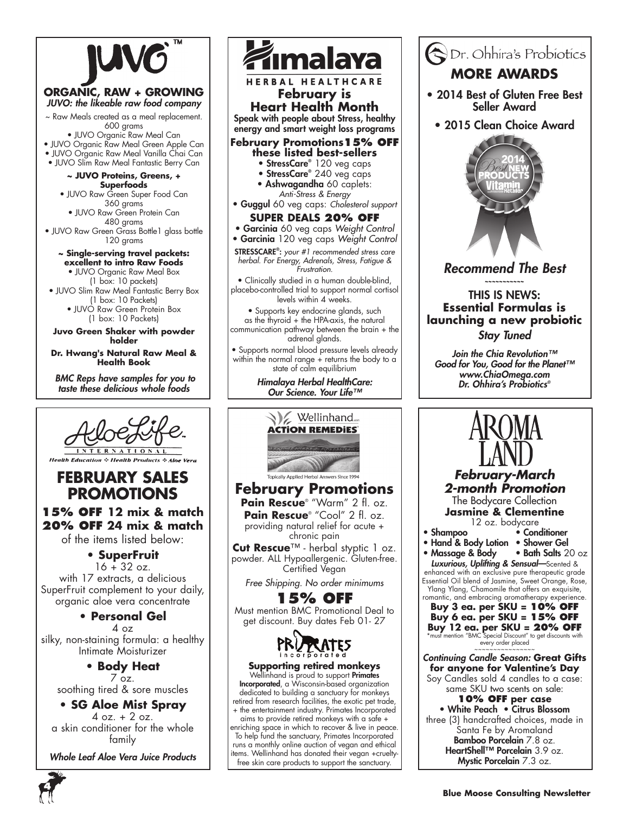

**excellent to intro Raw Foods** • JUVO Organic Raw Meal Box

(1 box: 10 packets)

• JUVO Slim Raw Meal Fantastic Berry Box (1 box: 10 Packets) • JUVO Raw Green Protein Box

(1 box: 10 Packets)

### **Juvo Green Shaker with powder holder**

**Dr. Hwang's Natural Raw Meal & Health Book**

*BMC Reps have samples for you to taste these delicious whole foods*



**Health Education : Health Products : Aloe Vera** 

# **February Sales Promotions**

**15% OFF 12 mix & match 20% OFF 24 mix & match** of the items listed below:

> **• SuperFruit**  $16 + 32$  oz.

with 17 extracts, a delicious SuperFruit complement to your daily, organic aloe vera concentrate

# **• Personal Gel**

4 oz silky, non-staining formula: a healthy Intimate Moisturizer

**• Body Heat**  $7 \overline{\circ}$ z. soothing tired & sore muscles

**• SG Aloe Mist Spray** 4 oz. + 2 oz. a skin conditioner for the whole family

*Whole Leaf Aloe Vera Juice Products*



opically Applied Herbal Answers Since 1994 **February Promotions Pain Rescue**® "Warm" 2 fl. oz. **Pain Rescue**® "Cool" 2 fl. oz. providing natural relief for acute + chronic pain<br>Cut Rescue™ - herbal styptic 1 oz.

**Cut Rescue**™ - herbal styptic 1 oz. powder. ALL Hypoallergenic. Gluten-free. Certified Vegan

*Free Shipping. No order minimums*

# **15% OFF**

Must mention BMC Promotional Deal to get discount. Buy dates Feb 01- 27



**Supporting retired monkeys**<br>Wellinhand is proud to support Primates

Incorporated, a Wisconsin-based organization dedicated to building a sanctuary for monkeys retired from research facilities, the exotic pet trade, + the entertainment industry. Primates Incorporated

aims to provide retired monkeys with a safe + enriching space in which to recover & live in peace. To help fund the sanctuary, Primates Incorporated runs a monthly online auction of vegan and ethical items. Wellinhand has donated their vegan +crueltyfree skin care products to support the sanctuary.



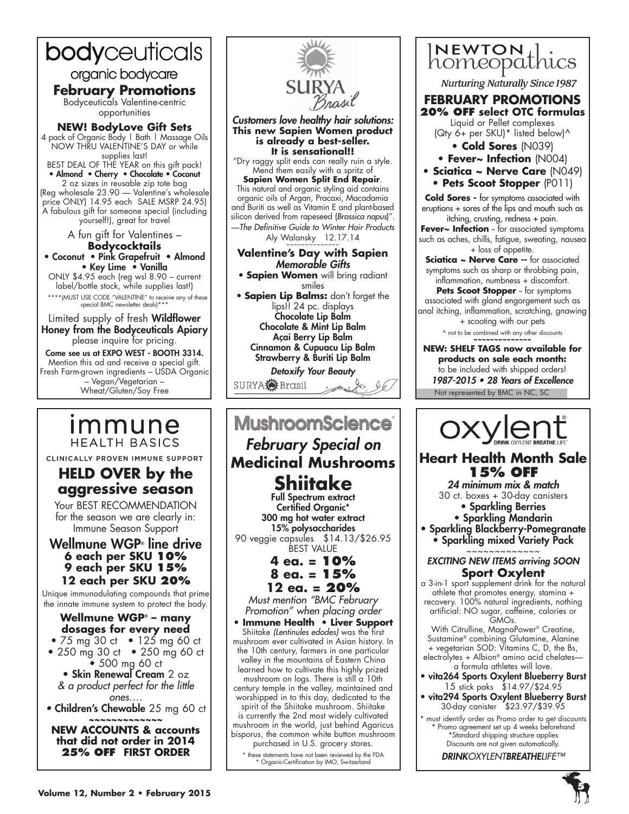# bodyceuticals

organic bodycare

# **February Promotions**

Bodyceuticals Valentine-centric opportunities

**NEW! BodyLove Gift Sets** 4 pack of Organic Body | Bath | Massage Oils NOW THRU VALENTINE'S DAY or while supplies last! BEST DEAL OF THE YEAR on this gift pack!

• Almond • Cherry • Chocolate • Coconut 2 oz sizes in reusable zip tote bag (Reg wholesale 23.90 — Valentine's wholesale

price ONLY) 14.95 each SALE MSRP 24.95) A fabulous gift for someone special (including yourself!), great for travel

> A fun gift for Valentines – **Bodycocktails**

• Coconut • Pink Grapefruit • Almond • Key Lime • Vanilla ONLY \$4.95 each (reg wsl 8.90 – current label/bottle stock, while supplies last!)

\*\*\*\*(MUST USE CODE "VALENTINE" to receive any of these special BMC newsletter deals)\*\*\*

Limited supply of fresh Wildflower Honey from the Bodyceuticals Apiary please inquire for pricing.

Come see us at EXPO WEST - BOOTH 3314. Mention this ad and receive a special gift. Fresh Farm-grown ingredients – USDA Organic – Vegan/Vegetarian – Wheat/Gluten/Soy Free

**aggressive season** Your BEST RECOMMENDATION for the season we are clearly in: Immune Season Support Wellmune WGP∘ line drive **6 each per SKU 10% 9 each per SKU 15% 12 each per SKU 20%** Unique immunodulating compounds that prime the innate immune system to protect the body. **Wellmune WGP® – many dosages for every need** • 75 mg 30 ct • 125 mg 60 ct • 250 mg 30 ct • 250 mg 60 ct • 500 mg 60 ct • Skin Renewal Cream 2 oz *& a product perfect for the little ones….*  • Children's Chewable 25 mg 60 ct **~~~~~~~~~~~~~ NEW ACCOUNTS & accounts that did not order in 2014 25% OFF FIRST ORDER**



*Customers love healthy hair solutions:* **This new Sapien Women product is already a best-seller. It is sensational!!**

"Dry raggy split ends can really ruin a style. Mend them easily with a spritz of

**Sapien Women Split End Repair**. This natural and organic styling aid contains organic oils of Argan, Pracaxi, Macadamia and Buriti as well as Vitamin E and plant-based silicon derived from rapeseed (*Brassica napus*)". —*The Definitive Guide to Winter Hair Products*

Aly Walansky 12.17.14

## **Valentine's Day with Sapien** *Memorable Gifts*

• **Sapien Women** will bring radiant smiles • **Sapien Lip Balms:** don't forget the lips!! 24 pc. displays Chocolate Lip Balm Chocolate & Mint Lip Balm Açaí Berry Lip Balm Cinnamon & Cupuacu Lip Balm Strawberry & Buriti Lip Balm

*Detoxify Your Beauty* SURYA Brasil

#### **MushroomScience** *Immune* **HEALTH BASICS** *February Special on*  CLINICALLY PROVEN IMMUNE SUPPORT **Medicinal Mushrooms HELD OVER by the**

**Shiitake** Full Spectrum extract Certified Organic\* 300 mg hot water extract 15% polysaccharides 90 veggie capsules \$14.13/\$26.95 BEST VALUE

> **4 ea. = 10% 8 ea. = 15%**

**12 ea. = 20%**

*Must mention "BMC February Promotion" when placing order*

**• Immune Health • Liver Support** Shiitake *(Lentinules edodes)* was the first mushroom ever cultivated in Asian history. In the 10th century, farmers in one particular valley in the mountains of Eastern China learned how to cultivate this highly prized mushroom on logs. There is still a 10th century temple in the valley, maintained and worshipped in to this day, dedicated to the spirit of the Shiitake mushroom. Shiitake is currently the 2nd most widely cultivated mushroom in the world, just behind Agaricus bisporus, the common white button mushroom purchased in U.S. grocery stores.

these statements have not been reviewed by the FDA \* Organic-Certification by IMO, Switzerland



**Nurturing Naturally Since 1987** 

### **February Promotions 20% OFF select OTC formulas**

Liquid or Pellet complexes (Qty 6+ per SKU)\* listed below)^

- **Cold Sores** (N039)
- **Fever~ Infection** (N004)
- **Sciatica ~ Nerve Care** (N049) **• Pets Scoot Stopper** (P011)

**Cold Sores -** for symptoms associated with eruptions + sores of the lips and mouth such as itching, crusting, redness + pain.

Fever~ Infection - for associated symptoms such as aches, chills, fatigue, sweating, nausea + loss of appetite.

**Sciatica ~ Nerve Care --** for associated symptoms such as sharp or throbbing pain, inflammation, numbness + discomfort.

**Pets Scoot Stopper** - for symptoms associated with gland engorgement such as

anal itching, inflammation, scratching, gnawing + scooting with our pets

^ not to be combined with any other discounts **~~~~~~~~~~~~~~**

Not represented by BMC in NC, SC **NEW: SHELF TAGS now available for products on sale each month:** to be included with shipped orders! 1987-2015 • 28 Years of Excellence



# **Heart Health Month Sale 15% OFF**

*24 minimum mix & match* 30 ct. boxes + 30-day canisters

• Sparkling Berries • Sparkling Mandarin

• Sparkling Blackberry-Pomegranate • Sparkling mixed Variety Pack .<br>~~~~~~~~~~~

# *EXCITING NEW ITEMS arriving SOON* **Sport Oxylent**

a 3-in-1 sport supplement drink for the natural athlete that promotes energy, stamina + recovery. 100% natural ingredients, nothing artificial: NO sugar, caffeine, calories or GMOs.

With Citrulline, MagnaPower® Creatine, Sustamine® combining Glutamine, Alanine + vegetarian SOD: Vitamins C, D, the Bs, electrolytes + Albion® amino acid chelates a formula athletes will love.

- vita264 Sports Oxylent Blueberry Burst 15 stick paks \$14.97/\$24.95
- vita294 Sports Oxylent Blueberry Burst 30-day canister \$23.97/\$39.95

must identify order as Promo order to get discounts Promo agreement set up 4 weeks beforehand \*Standard shipping structure applies Discounts are not given automatically.

*DRINKOXYLENTBREATHELIFE™*

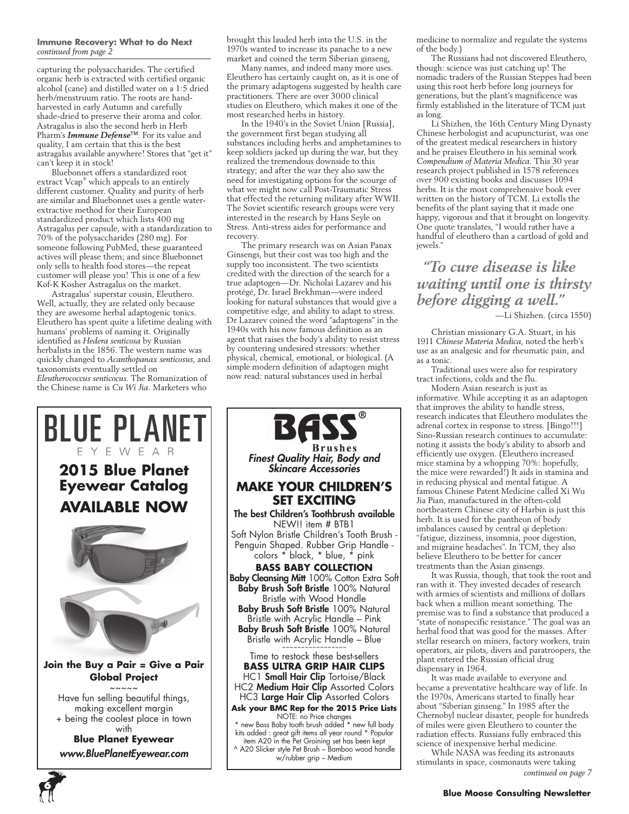#### **Immune Recovery: What to do Next** *continued from page 2*

capturing the polysaccharides. The certified organic herb is extracted with certified organic alcohol (cane) and distilled water on a 1:5 dried herb/menstruum ratio. The roots are handharvested in early Autumn and carefully shade-dried to preserve their aroma and color. Astragalus is also the second herb in Herb Pharm's *Immune Defense*™. For its value and quality, I am certain that this is the best astragalus available anywhere! Stores that "get it" can't keep it in stock!

Bluebonnet offers a standardized root extract Vcap® which appeals to an entirely different customer. Quality and purity of herb are similar and Bluebonnet uses a gentle waterextractive method for their European standardized product which lists 400 mg Astragalus per capsule, with a standardization to 70% of the polysaccharides (280 mg). For someone following PubMed, these guaranteed actives will please them; and since Bluebonnet only sells to health food stores—the repeat customer will please you! This is one of a few Kof-K Kosher Astragalus on the market.

Astragalus' superstar cousin, Eleuthero. Well, actually, they are related only because they are awesome herbal adaptogenic tonics. Eleuthero has spent quite a lifetime dealing with humans' problems of naming it. Originally identified as *Hedera senticosa* by Russian herbalists in the 1856. The western name was quickly changed to *Acanthopanax senticosus*, and taxonomists eventually settled on *Eleutherococcus senticocus*. The Romanization of the Chinese name is *Cu Wi Jia*. Marketers who

brought this lauded herb into the U.S. in the 1970s wanted to increase its panache to a new market and coined the term Siberian ginseng,

Many names, and indeed many more uses. Eleuthero has certainly caught on, as it is one of the primary adaptogens suggested by health care practitioners. There are over 3000 clinical studies on Eleuthero, which makes it one of the most researched herbs in history.

In the 1940's in the Soviet Union [Russia], the government first began studying all substances including herbs and amphetamines to keep soldiers jacked up during the war, but they realized the tremendous downside to this strategy; and after the war they also saw the need for investigating options for the scourge of what we might now call Post-Traumatic Stress that effected the returning military after WWII. The Soviet scientific research groups were very interested in the research by Hans Seyle on Stress. Anti-stress aides for performance and recovery.

The primary research was on Asian Panax Ginsengs, but their cost was too high and the supply too inconsistent. The two scientists credited with the direction of the search for a true adaptogen—Dr. Nicholai Lazarev and his protégé, Dr. Israel Brekhman—were indeed looking for natural substances that would give a competitive edge, and ability to adapt to stress. Dr Lazarev coined the word "adaptogens" in the 1940s with his now famous definition as an agent that raises the body's ability to resist stress by countering undesired stressors: whether physical, chemical, emotional, or biological. (A simple modern definition of adaptogen might now read: natural substances used in herbal



**6**

**BASS Brushes** *Finest Quality Hair, Body and Skincare Accessories* **MAKE YOUR CHILDREN'S SET EXCITING** The best Children's Toothbrush available NEW!! item # BTB1 Soft Nylon Bristle Children's Tooth Brush - Penguin Shaped. Rubber Grip Handle colors \* black, \* blue, \* pink **BASS BABY COLLECTION** Baby Cleansing Mitt 100% Cotton Extra Soft Baby Brush Soft Bristle 100% Natural Bristle with Wood Handle Baby Brush Soft Bristle 100% Natural Bristle with Acrylic Handle – Pink Baby Brush Soft Bristle 100% Natural Bristle with Acrylic Handle – Blue Time to restock these best-sellers **BASS ULTRA GRIP HAIR CLIPS** HC1 Small Hair Clip Tortoise/Black HC2 Medium Hair Clip Assorted Colors HC3 Large Hair Clip Assorted Colors **Ask your BMC Rep for the 2015 Price Lists**

NOTE: no Price changes new Bass Baby tooth brush added \* new full body kits added : great gift items all year round \* Popular item A20 in the Pet Groining set has been kept ^ A20 Slicker style Pet Brush – Bamboo wood handle w/rubber grip – Medium

medicine to normalize and regulate the systems of the body.)

The Russians had not discovered Eleuthero, though: science was just catching up! The nomadic traders of the Russian Steppes had been using this root herb before long journeys for generations, but the plant's magnificence was firmly established in the literature of TCM just as long.

Li Shizhen, the 16th Century Ming Dynasty Chinese herbologist and acupuncturist, was one of the greatest medical researchers in history and he praises Eleuthero in his seminal work *Compendium of Materia Medica*. This 30 year research project published in 1578 references over 900 existing books and discusses 1094 herbs. It is the most comprehensive book ever written on the history of TCM. Li extolls the benefits of the plant saying that it made one happy, vigorous and that it brought on longevity. One quote translates, "I would rather have a handful of eleuthero than a cartload of gold and jewels."

 *"To cure disease is like waiting until one is thirsty before digging a well."*

—Li Shizhen. (circa 1550)

Christian missionary G.A. Stuart, in his 1911 *Chinese Materia Medica*, noted the herb's use as an analgesic and for rheumatic pain, and as a tonic.

Traditional uses were also for respiratory tract infections, colds and the flu.

Modern Asian research is just as informative. While accepting it as an adaptogen that improves the ability to handle stress, research indicates that Eleuthero modulates the adrenal cortex in response to stress. [Bingo!!!] Sino-Russian research continues to accumulate: noting it assists the body's ability to absorb and efficiently use oxygen. (Eleuthero increased mice stamina by a whopping 70%: hopefully, the mice were rewarded!) It aids in stamina and in reducing physical and mental fatigue. A famous Chinese Patent Medicine called Xi Wu Jia Pian, manufactured in the often-cold northeastern Chinese city of Harbin is just this herb. It is used for the pantheon of body imbalances caused by central qi depletion: "fatigue, dizziness, insomnia, poor digestion, and migraine headaches". In TCM, they also believe Eleuthero to be better for cancer treatments than the Asian ginsengs.

It was Russia, though, that took the root and ran with it. They invested decades of research with armies of scientists and millions of dollars back when a million meant something. The premise was to find a substance that produced a "state of nonspecific resistance." The goal was an herbal food that was good for the masses. After stellar research on miners, factory workers, train operators, air pilots, divers and paratroopers, the plant entered the Russian official drug dispensary in 1964.

It was made available to everyone and became a preventative healthcare way of life. In the 1970s, Americans started to finally hear about "Siberian ginseng." In 1985 after the Chernobyl nuclear disaster, people for hundreds of miles were given Eleuthero to counter the radiation effects. Russians fully embraced this science of inexpensive herbal medicine.

While NASA was feeding its astronauts stimulants in space, cosmonauts were taking *continued on page 7*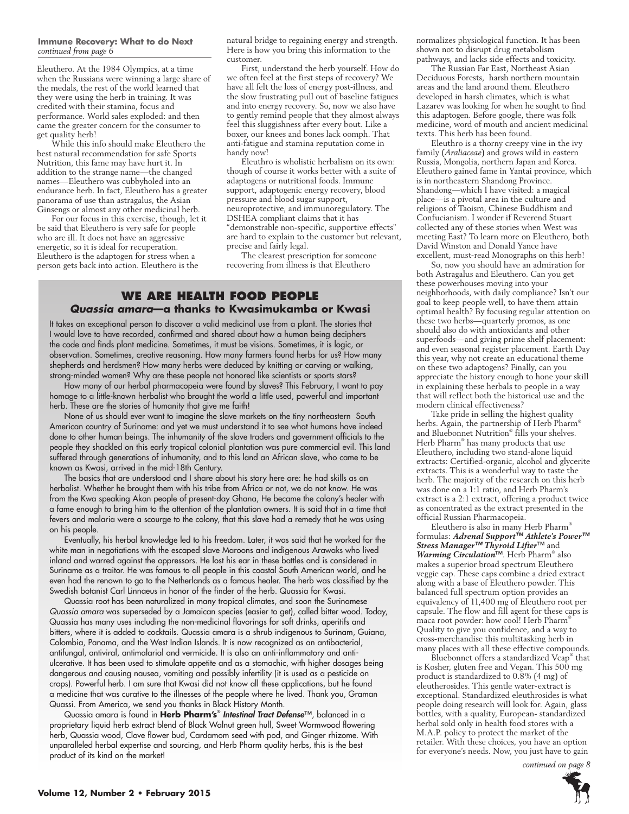#### **Immune Recovery: What to do Next** *continued from page 6*

Eleuthero. At the 1984 Olympics, at a time when the Russians were winning a large share of the medals, the rest of the world learned that they were using the herb in training. It was credited with their stamina, focus and performance. World sales exploded: and then came the greater concern for the consumer to get quality herb!

While this info should make Eleuthero the best natural recommendation for safe Sports Nutrition, this fame may have hurt it. In addition to the strange name—the changed names—Eleuthero was cubbyholed into an endurance herb. In fact, Eleuthero has a greater panorama of use than astragalus, the Asian Ginsengs or almost any other medicinal herb.

For our focus in this exercise, though, let it be said that Eleuthero is very safe for people who are ill. It does not have an aggressive energetic, so it is ideal for recuperation. Eleuthero is the adaptogen for stress when a person gets back into action. Eleuthero is the

natural bridge to regaining energy and strength. Here is how you bring this information to the customer.

First, understand the herb yourself. How do we often feel at the first steps of recovery? We have all felt the loss of energy post-illness, and the slow frustrating pull out of baseline fatigues and into energy recovery. So, now we also have to gently remind people that they almost always feel this sluggishness after every bout. Like a boxer, our knees and bones lack oomph. That anti-fatigue and stamina reputation come in handy now!

Eleuthro is wholistic herbalism on its own: though of course it works better with a suite of adaptogens or nutritional foods. Immune support, adaptogenic energy recovery, blood pressure and blood sugar support, neuroprotective, and immunoregulatory. The DSHEA compliant claims that it has "demonstrable non-specific, supportive effects" are hard to explain to the customer but relevant, precise and fairly legal.

The clearest prescription for someone recovering from illness is that Eleuthero

### **We Are Health Food People** *Quassia amara***—a thanks to Kwasimukamba or Kwasi**

It takes an exceptional person to discover a valid medicinal use from a plant. The stories that I would love to have recorded, confirmed and shared about how a human being deciphers the code and finds plant medicine. Sometimes, it must be visions. Sometimes, it is logic, or observation. Sometimes, creative reasoning. How many farmers found herbs for us? How many shepherds and herdsmen? How many herbs were deduced by knitting or carving or walking, strong-minded women? Why are these people not honored like scientists or sports stars?

How many of our herbal pharmacopeia were found by slaves? This February, I want to pay homage to a little-known herbalist who brought the world a little used, powerful and important herb. These are the stories of humanity that give me faith!

None of us should ever want to imagine the slave markets on the tiny northeastern South American country of Suriname: and yet we must understand it to see what humans have indeed done to other human beings. The inhumanity of the slave traders and government officials to the people they shackled on this early tropical colonial plantation was pure commercial evil. This land suffered through generations of inhumanity, and to this land an African slave, who came to be known as Kwasi, arrived in the mid-18th Century.

The basics that are understood and I share about his story here are: he had skills as an herbalist. Whether he brought them with his tribe from Africa or not, we do not know. He was from the Kwa speaking Akan people of present-day Ghana, He became the colony's healer with a fame enough to bring him to the attention of the plantation owners. It is said that in a time that fevers and malaria were a scourge to the colony, that this slave had a remedy that he was using on his people.

Eventually, his herbal knowledge led to his freedom. Later, it was said that he worked for the white man in negotiations with the escaped slave Maroons and indigenous Arawaks who lived inland and warred against the oppressors. He lost his ear in these battles and is considered in Suriname as a traitor. He was famous to all people in this coastal South American world, and he even had the renown to go to the Netherlands as a famous healer. The herb was classified by the Swedish botanist Carl Linnaeus in honor of the finder of the herb. Quassia for Kwasi.

Quassia root has been naturalized in many tropical climates, and soon the Surinamese *Quassia amara* was superseded by a Jamaican species (easier to get), called bitter wood. Today, Quassia has many uses including the non-medicinal flavorings for soft drinks, aperitifs and bitters, where it is added to cocktails. Quassia amara is a shrub indigenous to Surinam, Guiana, Colombia, Panama, and the West Indian Islands. It is now recognized as an antibacterial, antifungal, antiviral, antimalarial and vermicide. It is also an anti-inflammatory and antiulcerative. It has been used to stimulate appetite and as a stomachic, with higher dosages being dangerous and causing nausea, vomiting and possibly infertility (it is used as a pesticide on crops). Powerful herb. I am sure that Kwasi did not know all these applications, but he found a medicine that was curative to the illnesses of the people where he lived. Thank you, Graman Quassi. From America, we send you thanks in Black History Month.

Quassia amara is found in **Herb Pharm's**® *Intestinal Tract Defense*™, balanced in a proprietary liquid herb extract blend of Black Walnut green hull, Sweet Wormwood flowering herb, Quassia wood, Clove flower bud, Cardamom seed with pod, and Ginger rhizome. With unparalleled herbal expertise and sourcing, and Herb Pharm quality herbs, this is the best product of its kind on the market!

normalizes physiological function. It has been shown not to disrupt drug metabolism pathways, and lacks side effects and toxicity.

The Russian Far East, Northeast Asian Deciduous Forests, harsh northern mountain areas and the land around them. Eleuthero developed in harsh climates, which is what Lazarev was looking for when he sought to find this adaptogen. Before google, there was folk medicine, word of mouth and ancient medicinal texts. This herb has been found.

Eleuthro is a thorny creepy vine in the ivy family (*Araliaceae*) and grows wild in eastern Russia, Mongolia, northern Japan and Korea. Eleuthero gained fame in Yantai province, which is in northeastern Shandong Province. Shandong—which I have visited: a magical place—is a pivotal area in the culture and religions of Taoism, Chinese Buddhism and Confucianism. I wonder if Reverend Stuart collected any of these stories when West was meeting East? To learn more on Eleuthero, both David Winston and Donald Yance have excellent, must-read Monographs on this herb!

So, now you should have an admiration for both Astragalus and Eleuthero. Can you get these powerhouses moving into your neighborhoods, with daily compliance? Isn't our goal to keep people well, to have them attain optimal health? By focusing regular attention on these two herbs—quarterly promos, as one should also do with antioxidants and other superfoods—and giving prime shelf placement: and even seasonal register placement. Earth Day this year, why not create an educational theme on these two adaptogens? Finally, can you appreciate the history enough to hone your skill in explaining these herbals to people in a way that will reflect both the historical use and the modern clinical effectiveness?

Take pride in selling the highest quality herbs. Again, the partnership of Herb Pharm® and Bluebonnet Nutrition® fills your shelves. Herb Pharm® has many products that use Eleuthero, including two stand-alone liquid extracts: Certified-organic, alcohol and glycerite extracts. This is a wonderful way to taste the herb. The majority of the research on this herb was done on a 1:1 ratio, and Herb Pharm's extract is a 2:1 extract, offering a product twice as concentrated as the extract presented in the official Russian Pharmacopeia.

Eleuthero is also in many Herb Pharm® formulas: *Adrenal Support™ Athlete's Power™ Stress Manager™ Thyroid Lifter*™ and *Warming Circulation*™. Herb Pharm® also makes a superior broad spectrum Eleuthero veggie cap. These caps combine a dried extract along with a base of Eleuthero powder. This balanced full spectrum option provides an equivalency of 11,400 mg of Eleuthero root per capsule. The flow and fill agent for these caps is maca root powder: how cool! Herb Pharm® Quality to give you confidence, and a way to cross-merchandise this multitasking herb in many places with all these effective compounds.

Bluebonnet offers a standardized Vcap® that is Kosher, gluten free and Vegan. This 500 mg product is standardized to 0.8% (4 mg) of eleutherosides. This gentle water-extract is exceptional. Standardized eleuthrosides is what people doing research will look for. Again, glass bottles, with a quality, European- standardized herbal sold only in health food stores with a M.A.P. policy to protect the market of the retailer. With these choices, you have an option for everyone's needs. Now, you just have to gain

*continued on page 8*